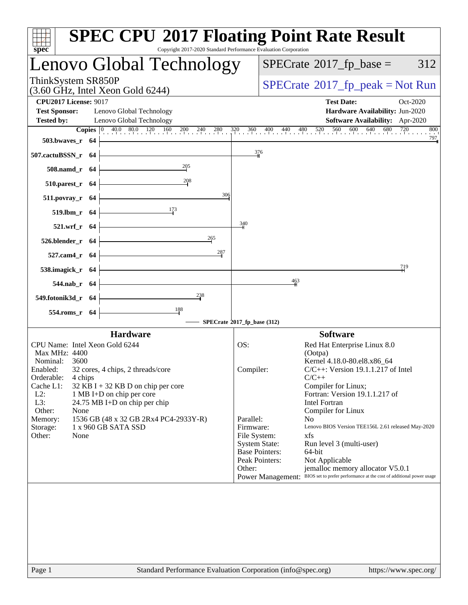| $spec^*$                                                                                                                                      | <b>SPEC CPU®2017 Floating Point Rate Result</b><br>Copyright 2017-2020 Standard Performance Evaluation Corporation                                                         |
|-----------------------------------------------------------------------------------------------------------------------------------------------|----------------------------------------------------------------------------------------------------------------------------------------------------------------------------|
| Lenovo Global Technology                                                                                                                      | $SPECrate^{\circ}2017$ _fp_base =<br>312                                                                                                                                   |
| ThinkSystem SR850P<br>$(3.60 \text{ GHz}, \text{Intel Xeon Gold } 6244)$                                                                      | $SPECrate^{\circ}2017rfp peak = Not Run$                                                                                                                                   |
| <b>CPU2017 License: 9017</b>                                                                                                                  | <b>Test Date:</b><br>Oct-2020                                                                                                                                              |
| <b>Test Sponsor:</b><br>Lenovo Global Technology                                                                                              | Hardware Availability: Jun-2020                                                                                                                                            |
| Lenovo Global Technology<br><b>Tested by:</b>                                                                                                 | Software Availability: Apr-2020<br>800                                                                                                                                     |
| <b>503.bwaves_r</b> 64                                                                                                                        | <b>Copies</b> $\begin{bmatrix} 0 & 40.0 & 80.0 & 120 & 160 & 200 & 240 & 280 & 320 & 360 & 400 & 440 & 480 & 520 & 560 & 600 & 640 & 680 & 720 & 800 \end{bmatrix}$<br>797 |
|                                                                                                                                               | 376                                                                                                                                                                        |
| <u> 1980 - Johann Barn, mars ann an t-Amhain Aonaich an t-Aonaich an t-Aonaich ann an t-Aonaich ann an t-Aonaich</u><br>$507$ .cactuBSSN_r 64 |                                                                                                                                                                            |
| $\frac{205}{1}$<br>$508$ .namd_r 64<br>208                                                                                                    |                                                                                                                                                                            |
| $510.parest_r$ 64                                                                                                                             |                                                                                                                                                                            |
| 306<br>$511. povray_r 64$                                                                                                                     |                                                                                                                                                                            |
| 519.lbm_r 64 $\frac{17^3}{ }$                                                                                                                 |                                                                                                                                                                            |
| $521.wrf_r$ 64                                                                                                                                | $\frac{340}{5}$                                                                                                                                                            |
| 265<br>526.blender_r 64 $\vert$                                                                                                               |                                                                                                                                                                            |
| 287<br><u> 1989 - Johann Barbara, martxa a</u><br>$527$ .cam4_r 64 $\vdash$                                                                   |                                                                                                                                                                            |
| 538.imagick_r $64$                                                                                                                            | 719                                                                                                                                                                        |
| $544$ .nab_r 64                                                                                                                               | $\frac{463}{4}$                                                                                                                                                            |
| $\frac{238}{4}$<br>549.fotonik3d_r $64$                                                                                                       |                                                                                                                                                                            |
| $\frac{188}{ }$<br>$554$ .roms_r 64                                                                                                           |                                                                                                                                                                            |
|                                                                                                                                               | SPECrate®2017_fp_base (312)                                                                                                                                                |
| <b>Hardware</b>                                                                                                                               | <b>Software</b>                                                                                                                                                            |
| CPU Name: Intel Xeon Gold 6244                                                                                                                | OS:<br>Red Hat Enterprise Linux 8.0                                                                                                                                        |
| Max MHz: 4400                                                                                                                                 | (Ootpa)                                                                                                                                                                    |
| Nominal:<br>3600<br>Enabled: 32 cores, 4 chips, 2 threads/core                                                                                | Kernel 4.18.0-80.el8.x86_64<br>$C/C++$ : Version 19.1.1.217 of Intel<br>Compiler:                                                                                          |
| Orderable:<br>4 chips                                                                                                                         | $C/C++$                                                                                                                                                                    |
| Cache L1:<br>$32$ KB I + 32 KB D on chip per core                                                                                             | Compiler for Linux;                                                                                                                                                        |
| $L2$ :<br>1 MB I+D on chip per core<br>L3:<br>24.75 MB I+D on chip per chip                                                                   | Fortran: Version 19.1.1.217 of<br><b>Intel Fortran</b>                                                                                                                     |
| Other:<br>None                                                                                                                                | Compiler for Linux                                                                                                                                                         |
| 1536 GB (48 x 32 GB 2Rx4 PC4-2933Y-R)<br>Memory:                                                                                              | Parallel:<br>No.                                                                                                                                                           |
| 1 x 960 GB SATA SSD<br>Storage:                                                                                                               | Firmware:<br>Lenovo BIOS Version TEE156L 2.61 released May-2020                                                                                                            |
| Other:<br>None                                                                                                                                | File System:<br>xfs<br><b>System State:</b><br>Run level 3 (multi-user)                                                                                                    |
|                                                                                                                                               | <b>Base Pointers:</b><br>64-bit                                                                                                                                            |
|                                                                                                                                               | Peak Pointers:<br>Not Applicable                                                                                                                                           |
|                                                                                                                                               | Other:<br>jemalloc memory allocator V5.0.1<br>Power Management: BIOS set to prefer performance at the cost of additional power usage                                       |
|                                                                                                                                               |                                                                                                                                                                            |
|                                                                                                                                               |                                                                                                                                                                            |
|                                                                                                                                               |                                                                                                                                                                            |
|                                                                                                                                               |                                                                                                                                                                            |
|                                                                                                                                               |                                                                                                                                                                            |
|                                                                                                                                               |                                                                                                                                                                            |
|                                                                                                                                               |                                                                                                                                                                            |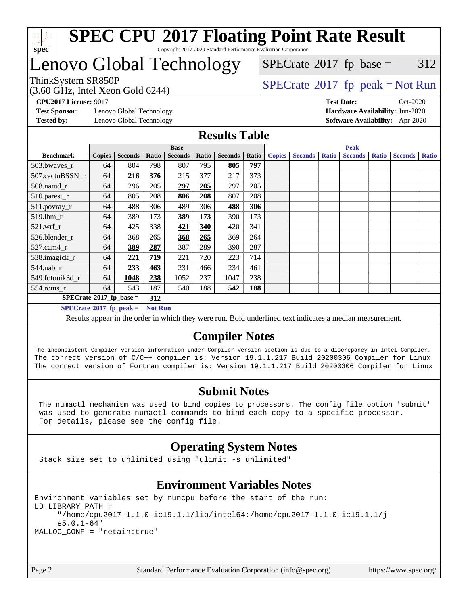

## Lenovo Global Technology

(3.60 GHz, Intel Xeon Gold 6244)

ThinkSystem SR850P<br>  $\begin{array}{c} \text{SPECrate} \textcirc 2017\_fp\_peak = Not Run \\ \text{SPECrate} \textcirc 2017\_fp\_peak = Not Run \end{array}$  $\begin{array}{c} \text{SPECrate} \textcirc 2017\_fp\_peak = Not Run \\ \text{SPECrate} \textcirc 2017\_fp\_peak = Not Run \end{array}$  $\begin{array}{c} \text{SPECrate} \textcirc 2017\_fp\_peak = Not Run \\ \text{SPECrate} \textcirc 2017\_fp\_peak = Not Run \end{array}$  $SPECTate@2017_fp\_base = 312$ 

**[Test Sponsor:](http://www.spec.org/auto/cpu2017/Docs/result-fields.html#TestSponsor)** Lenovo Global Technology **[Hardware Availability:](http://www.spec.org/auto/cpu2017/Docs/result-fields.html#HardwareAvailability)** Jun-2020 **[Tested by:](http://www.spec.org/auto/cpu2017/Docs/result-fields.html#Testedby)** Lenovo Global Technology **[Software Availability:](http://www.spec.org/auto/cpu2017/Docs/result-fields.html#SoftwareAvailability)** Apr-2020

**[CPU2017 License:](http://www.spec.org/auto/cpu2017/Docs/result-fields.html#CPU2017License)** 9017 **[Test Date:](http://www.spec.org/auto/cpu2017/Docs/result-fields.html#TestDate)** Oct-2020

### **[Results Table](http://www.spec.org/auto/cpu2017/Docs/result-fields.html#ResultsTable)**

|                                                     | <b>Base</b>   |                |       |                | <b>Peak</b> |                |       |               |                |              |                |              |                |              |
|-----------------------------------------------------|---------------|----------------|-------|----------------|-------------|----------------|-------|---------------|----------------|--------------|----------------|--------------|----------------|--------------|
| <b>Benchmark</b>                                    | <b>Copies</b> | <b>Seconds</b> | Ratio | <b>Seconds</b> | Ratio       | <b>Seconds</b> | Ratio | <b>Copies</b> | <b>Seconds</b> | <b>Ratio</b> | <b>Seconds</b> | <b>Ratio</b> | <b>Seconds</b> | <b>Ratio</b> |
| 503.bwayes r                                        | 64            | 804            | 798   | 807            | 795         | 805            | 797   |               |                |              |                |              |                |              |
| 507.cactuBSSN r                                     | 64            | 216            | 376   | 215            | 377         | 217            | 373   |               |                |              |                |              |                |              |
| $508$ .namd $r$                                     | 64            | 296            | 205   | 297            | 205         | 297            | 205   |               |                |              |                |              |                |              |
| 510.parest_r                                        | 64            | 805            | 208   | 806            | 208         | 807            | 208   |               |                |              |                |              |                |              |
| 511.povray_r                                        | 64            | 488            | 306   | 489            | 306         | 488            | 306   |               |                |              |                |              |                |              |
| $519.$ lbm r                                        | 64            | 389            | 173   | 389            | 173         | 390            | 173   |               |                |              |                |              |                |              |
| 521.wrf                                             | 64            | 425            | 338   | 421            | 340         | 420            | 341   |               |                |              |                |              |                |              |
| 526.blender r                                       | 64            | 368            | 265   | 368            | 265         | 369            | 264   |               |                |              |                |              |                |              |
| $527$ .cam $4r$                                     | 64            | 389            | 287   | 387            | 289         | 390            | 287   |               |                |              |                |              |                |              |
| 538.imagick_r                                       | 64            | 221            | 719   | 221            | 720         | 223            | 714   |               |                |              |                |              |                |              |
| $544$ .nab_r                                        | 64            | 233            | 463   | 231            | 466         | 234            | 461   |               |                |              |                |              |                |              |
| 549.fotonik3d r                                     | 64            | 1048           | 238   | 1052           | 237         | 1047           | 238   |               |                |              |                |              |                |              |
| $554$ .roms $r$                                     | 64            | 543            | 187   | 540            | 188         | 542            | 188   |               |                |              |                |              |                |              |
| $SPECrate^{\circ}2017$ fp base =<br>312             |               |                |       |                |             |                |       |               |                |              |                |              |                |              |
| $SPECrate^{\circ}2017$ _fp_peak =<br><b>Not Run</b> |               |                |       |                |             |                |       |               |                |              |                |              |                |              |

Results appear in the [order in which they were run](http://www.spec.org/auto/cpu2017/Docs/result-fields.html#RunOrder). Bold underlined text [indicates a median measurement](http://www.spec.org/auto/cpu2017/Docs/result-fields.html#Median).

## **[Compiler Notes](http://www.spec.org/auto/cpu2017/Docs/result-fields.html#CompilerNotes)**

The inconsistent Compiler version information under Compiler Version section is due to a discrepancy in Intel Compiler. The correct version of C/C++ compiler is: Version 19.1.1.217 Build 20200306 Compiler for Linux The correct version of Fortran compiler is: Version 19.1.1.217 Build 20200306 Compiler for Linux

#### **[Submit Notes](http://www.spec.org/auto/cpu2017/Docs/result-fields.html#SubmitNotes)**

 The numactl mechanism was used to bind copies to processors. The config file option 'submit' was used to generate numactl commands to bind each copy to a specific processor. For details, please see the config file.

## **[Operating System Notes](http://www.spec.org/auto/cpu2017/Docs/result-fields.html#OperatingSystemNotes)**

Stack size set to unlimited using "ulimit -s unlimited"

## **[Environment Variables Notes](http://www.spec.org/auto/cpu2017/Docs/result-fields.html#EnvironmentVariablesNotes)**

```
Environment variables set by runcpu before the start of the run:
LD_LIBRARY_PATH =
      "/home/cpu2017-1.1.0-ic19.1.1/lib/intel64:/home/cpu2017-1.1.0-ic19.1.1/j
      e5.0.1-64"
MALLOC_CONF = "retain:true"
```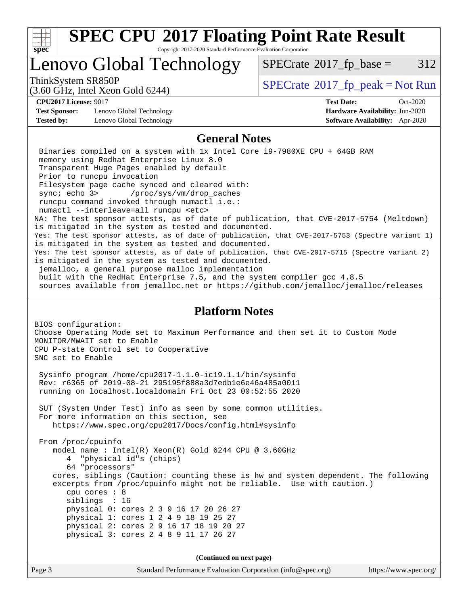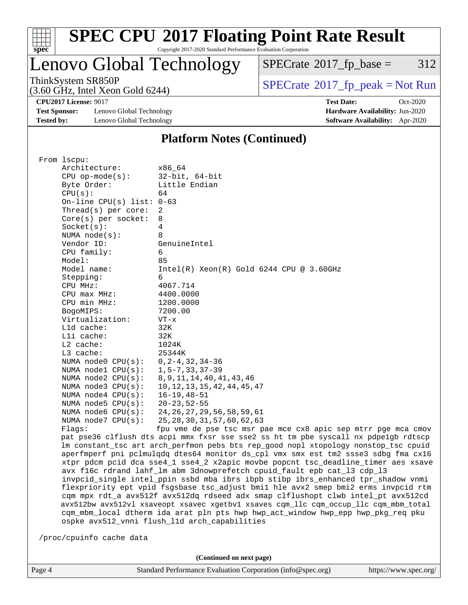

# **[SPEC CPU](http://www.spec.org/auto/cpu2017/Docs/result-fields.html#SPECCPU2017FloatingPointRateResult)[2017 Floating Point Rate Result](http://www.spec.org/auto/cpu2017/Docs/result-fields.html#SPECCPU2017FloatingPointRateResult)**

Copyright 2017-2020 Standard Performance Evaluation Corporation

Lenovo Global Technology

 $SPECTate@2017_fp\_base = 312$ 

(3.60 GHz, Intel Xeon Gold 6244)

ThinkSystem SR850P<br>  $(3.60 \text{ GHz})$  Intel Yeon Gold 6244)<br>  $\boxed{\text{SPECrate}^{\circ}2017\_fp\_peak = Not Run}$  $\boxed{\text{SPECrate}^{\circ}2017\_fp\_peak = Not Run}$  $\boxed{\text{SPECrate}^{\circ}2017\_fp\_peak = Not Run}$ 

**[CPU2017 License:](http://www.spec.org/auto/cpu2017/Docs/result-fields.html#CPU2017License)** 9017 **[Test Date:](http://www.spec.org/auto/cpu2017/Docs/result-fields.html#TestDate)** Oct-2020

**[Test Sponsor:](http://www.spec.org/auto/cpu2017/Docs/result-fields.html#TestSponsor)** Lenovo Global Technology **[Hardware Availability:](http://www.spec.org/auto/cpu2017/Docs/result-fields.html#HardwareAvailability)** Jun-2020 **[Tested by:](http://www.spec.org/auto/cpu2017/Docs/result-fields.html#Testedby)** Lenovo Global Technology **[Software Availability:](http://www.spec.org/auto/cpu2017/Docs/result-fields.html#SoftwareAvailability)** Apr-2020

### **[Platform Notes \(Continued\)](http://www.spec.org/auto/cpu2017/Docs/result-fields.html#PlatformNotes)**

| From 1scpu:                                                                         |                                                                                      |  |  |  |  |
|-------------------------------------------------------------------------------------|--------------------------------------------------------------------------------------|--|--|--|--|
| Architecture:                                                                       | x86 64                                                                               |  |  |  |  |
| $CPU$ op-mode( $s$ ):                                                               | $32$ -bit, $64$ -bit                                                                 |  |  |  |  |
| Byte Order:                                                                         | Little Endian                                                                        |  |  |  |  |
| CPU(s):                                                                             | 64                                                                                   |  |  |  |  |
| On-line CPU $(s)$ list: 0-63                                                        |                                                                                      |  |  |  |  |
| Thread(s) per core:                                                                 | 2                                                                                    |  |  |  |  |
| Core(s) per socket:                                                                 | 8                                                                                    |  |  |  |  |
| Socket(s):                                                                          | 4                                                                                    |  |  |  |  |
| NUMA $node(s):$                                                                     | 8                                                                                    |  |  |  |  |
| Vendor ID:                                                                          | GenuineIntel                                                                         |  |  |  |  |
| CPU family:                                                                         | 6                                                                                    |  |  |  |  |
| Model:                                                                              | 85                                                                                   |  |  |  |  |
| Model name:                                                                         | $Intel(R)$ Xeon $(R)$ Gold 6244 CPU @ 3.60GHz                                        |  |  |  |  |
| Stepping:                                                                           | 6                                                                                    |  |  |  |  |
| CPU MHz:                                                                            | 4067.714                                                                             |  |  |  |  |
| $CPU$ max $MHz$ :                                                                   | 4400.0000                                                                            |  |  |  |  |
| CPU min MHz:                                                                        | 1200.0000                                                                            |  |  |  |  |
| BogoMIPS:                                                                           | 7200.00                                                                              |  |  |  |  |
| Virtualization:                                                                     | $VT - x$                                                                             |  |  |  |  |
| L1d cache:                                                                          | 32K                                                                                  |  |  |  |  |
| Lli cache:                                                                          | 32K                                                                                  |  |  |  |  |
| $L2$ cache:                                                                         | 1024K                                                                                |  |  |  |  |
| $L3$ cache:                                                                         | 25344K                                                                               |  |  |  |  |
| NUMA $node0$ $CPU(s):$                                                              | $0, 2 - 4, 32, 34 - 36$                                                              |  |  |  |  |
| NUMA nodel CPU(s):                                                                  | $1, 5 - 7, 33, 37 - 39$                                                              |  |  |  |  |
| NUMA $node2$ $CPU(s):$                                                              | 8, 9, 11, 14, 40, 41, 43, 46                                                         |  |  |  |  |
| NUMA $node3$ $CPU(s):$                                                              | 10, 12, 13, 15, 42, 44, 45, 47                                                       |  |  |  |  |
| NUMA $node4$ $CPU(s):$                                                              | $16 - 19, 48 - 51$                                                                   |  |  |  |  |
| NUMA $node5$ $CPU(s):$                                                              | $20 - 23, 52 - 55$                                                                   |  |  |  |  |
| NUMA node6 $CPU(s):$                                                                | 24, 26, 27, 29, 56, 58, 59, 61                                                       |  |  |  |  |
| NUMA $node7$ CPU $(s)$ :                                                            | 25, 28, 30, 31, 57, 60, 62, 63                                                       |  |  |  |  |
| Flaqs:                                                                              | fpu vme de pse tsc msr pae mce cx8 apic sep mtrr pge mca cmov                        |  |  |  |  |
|                                                                                     | pat pse36 clflush dts acpi mmx fxsr sse sse2 ss ht tm pbe syscall nx pdpelgb rdtscp  |  |  |  |  |
| lm constant_tsc art arch_perfmon pebs bts rep_good nopl xtopology nonstop_tsc cpuid |                                                                                      |  |  |  |  |
| aperfmperf pni pclmulqdq dtes64 monitor ds_cpl vmx smx est tm2 ssse3 sdbg fma cx16  |                                                                                      |  |  |  |  |
| xtpr pdcm pcid dca sse4_1 sse4_2 x2apic movbe popcnt tsc_deadline_timer aes xsave   |                                                                                      |  |  |  |  |
| avx f16c rdrand lahf_lm abm 3dnowprefetch cpuid_fault epb cat_13 cdp_13             |                                                                                      |  |  |  |  |
| invpcid_single intel_ppin ssbd mba ibrs ibpb stibp ibrs_enhanced tpr_shadow vnmi    |                                                                                      |  |  |  |  |
| flexpriority ept vpid fsgsbase tsc_adjust bmil hle avx2 smep bmi2 erms invpcid rtm  |                                                                                      |  |  |  |  |
|                                                                                     | cqm mpx rdt_a avx512f avx512dq rdseed adx smap clflushopt clwb intel_pt avx512cd     |  |  |  |  |
|                                                                                     | avx512bw avx512vl xsaveopt xsavec xgetbvl xsaves cqm_llc cqm_occup_llc cqm_mbm_total |  |  |  |  |
|                                                                                     | cqm_mbm_local dtherm ida arat pln pts hwp hwp_act_window hwp_epp hwp_pkg_req pku     |  |  |  |  |
|                                                                                     | ospke avx512_vnni flush_l1d arch_capabilities                                        |  |  |  |  |
|                                                                                     |                                                                                      |  |  |  |  |
| /proc/cpuinfo cache data                                                            |                                                                                      |  |  |  |  |
|                                                                                     |                                                                                      |  |  |  |  |

**(Continued on next page)**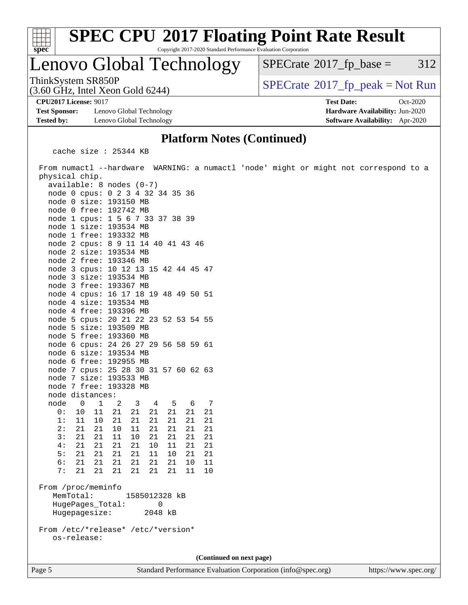

# **[SPEC CPU](http://www.spec.org/auto/cpu2017/Docs/result-fields.html#SPECCPU2017FloatingPointRateResult)[2017 Floating Point Rate Result](http://www.spec.org/auto/cpu2017/Docs/result-fields.html#SPECCPU2017FloatingPointRateResult)**

Copyright 2017-2020 Standard Performance Evaluation Corporation

## Lenovo Global Technology

 $SPECTate$ <sup>®</sup>[2017\\_fp\\_base =](http://www.spec.org/auto/cpu2017/Docs/result-fields.html#SPECrate2017fpbase) 312

ThinkSystem SR850P<br>(3.60 GHz, Intel Xeon Gold 6244)  $\begin{array}{c} | \text{SPECrate} \textdegree 2017\_fp\_peak = Not Run \end{array}$  $\begin{array}{c} | \text{SPECrate} \textdegree 2017\_fp\_peak = Not Run \end{array}$  $\begin{array}{c} | \text{SPECrate} \textdegree 2017\_fp\_peak = Not Run \end{array}$ 

**[Test Sponsor:](http://www.spec.org/auto/cpu2017/Docs/result-fields.html#TestSponsor)** Lenovo Global Technology **[Hardware Availability:](http://www.spec.org/auto/cpu2017/Docs/result-fields.html#HardwareAvailability)** Jun-2020 **[Tested by:](http://www.spec.org/auto/cpu2017/Docs/result-fields.html#Testedby)** Lenovo Global Technology **[Software Availability:](http://www.spec.org/auto/cpu2017/Docs/result-fields.html#SoftwareAvailability)** Apr-2020

(3.60 GHz, Intel Xeon Gold 6244)

**[CPU2017 License:](http://www.spec.org/auto/cpu2017/Docs/result-fields.html#CPU2017License)** 9017 **[Test Date:](http://www.spec.org/auto/cpu2017/Docs/result-fields.html#TestDate)** Oct-2020

### **[Platform Notes \(Continued\)](http://www.spec.org/auto/cpu2017/Docs/result-fields.html#PlatformNotes)**

cache size : 25344 KB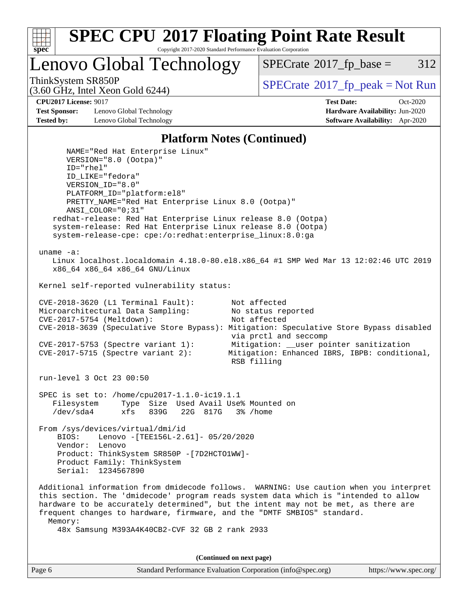

Lenovo Global Technology

 $SPECTate$ <sup>®</sup>[2017\\_fp\\_base =](http://www.spec.org/auto/cpu2017/Docs/result-fields.html#SPECrate2017fpbase) 312

(3.60 GHz, Intel Xeon Gold 6244)

ThinkSystem SR850P<br>  $SPECTI<sub>2</sub>$  [SPECrate](http://www.spec.org/auto/cpu2017/Docs/result-fields.html#SPECrate2017fppeak)®[2017\\_fp\\_peak = N](http://www.spec.org/auto/cpu2017/Docs/result-fields.html#SPECrate2017fppeak)ot Run

**[Test Sponsor:](http://www.spec.org/auto/cpu2017/Docs/result-fields.html#TestSponsor)** Lenovo Global Technology **[Hardware Availability:](http://www.spec.org/auto/cpu2017/Docs/result-fields.html#HardwareAvailability)** Jun-2020 **[Tested by:](http://www.spec.org/auto/cpu2017/Docs/result-fields.html#Testedby)** Lenovo Global Technology **[Software Availability:](http://www.spec.org/auto/cpu2017/Docs/result-fields.html#SoftwareAvailability)** Apr-2020

**[CPU2017 License:](http://www.spec.org/auto/cpu2017/Docs/result-fields.html#CPU2017License)** 9017 **[Test Date:](http://www.spec.org/auto/cpu2017/Docs/result-fields.html#TestDate)** Oct-2020

#### **[Platform Notes \(Continued\)](http://www.spec.org/auto/cpu2017/Docs/result-fields.html#PlatformNotes)**

 NAME="Red Hat Enterprise Linux" VERSION="8.0 (Ootpa)" ID="rhel" ID\_LIKE="fedora" VERSION\_ID="8.0" PLATFORM\_ID="platform:el8" PRETTY\_NAME="Red Hat Enterprise Linux 8.0 (Ootpa)" ANSI\_COLOR="0;31" redhat-release: Red Hat Enterprise Linux release 8.0 (Ootpa) system-release: Red Hat Enterprise Linux release 8.0 (Ootpa) system-release-cpe: cpe:/o:redhat:enterprise\_linux:8.0:ga uname -a: Linux localhost.localdomain 4.18.0-80.el8.x86\_64 #1 SMP Wed Mar 13 12:02:46 UTC 2019 x86\_64 x86\_64 x86\_64 GNU/Linux Kernel self-reported vulnerability status: CVE-2018-3620 (L1 Terminal Fault): Not affected<br>Microarchitectural Data Sampling: No status reported Microarchitectural Data Sampling: CVE-2017-5754 (Meltdown): Not affected CVE-2018-3639 (Speculative Store Bypass): Mitigation: Speculative Store Bypass disabled via prctl and seccomp CVE-2017-5753 (Spectre variant 1): Mitigation: \_\_user pointer sanitization CVE-2017-5715 (Spectre variant 2): Mitigation: Enhanced IBRS, IBPB: conditional, RSB filling run-level 3 Oct 23 00:50 SPEC is set to: /home/cpu2017-1.1.0-ic19.1.1 Filesystem Type Size Used Avail Use% Mounted on /dev/sda4 xfs 839G 22G 817G 3% /home From /sys/devices/virtual/dmi/id BIOS: Lenovo -[TEE156L-2.61]- 05/20/2020 Vendor: Lenovo Product: ThinkSystem SR850P -[7D2HCTO1WW]- Product Family: ThinkSystem Serial: 1234567890 Additional information from dmidecode follows. WARNING: Use caution when you interpret this section. The 'dmidecode' program reads system data which is "intended to allow hardware to be accurately determined", but the intent may not be met, as there are frequent changes to hardware, firmware, and the "DMTF SMBIOS" standard. Memory: 48x Samsung M393A4K40CB2-CVF 32 GB 2 rank 2933

**(Continued on next page)**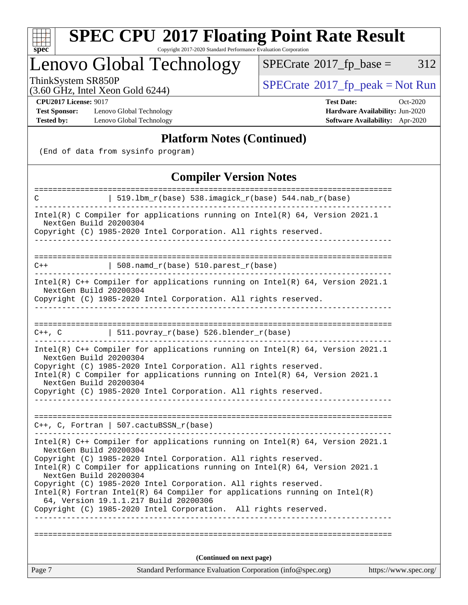

# **[SPEC CPU](http://www.spec.org/auto/cpu2017/Docs/result-fields.html#SPECCPU2017FloatingPointRateResult)[2017 Floating Point Rate Result](http://www.spec.org/auto/cpu2017/Docs/result-fields.html#SPECCPU2017FloatingPointRateResult)**

Copyright 2017-2020 Standard Performance Evaluation Corporation

## Lenovo Global Technology

 $SPECTate@2017_fp\_base = 312$ 

(3.60 GHz, Intel Xeon Gold 6244)

ThinkSystem SR850P<br>  $(3.60 \text{ GHz})$  Intel Yeon Gold 6244)<br>  $\boxed{\text{SPECrate}^{\circ}2017\_fp\_peak = Not Run}$  $\boxed{\text{SPECrate}^{\circ}2017\_fp\_peak = Not Run}$  $\boxed{\text{SPECrate}^{\circ}2017\_fp\_peak = Not Run}$ 

**[Test Sponsor:](http://www.spec.org/auto/cpu2017/Docs/result-fields.html#TestSponsor)** Lenovo Global Technology **[Hardware Availability:](http://www.spec.org/auto/cpu2017/Docs/result-fields.html#HardwareAvailability)** Jun-2020 **[Tested by:](http://www.spec.org/auto/cpu2017/Docs/result-fields.html#Testedby)** Lenovo Global Technology **[Software Availability:](http://www.spec.org/auto/cpu2017/Docs/result-fields.html#SoftwareAvailability)** Apr-2020

**[CPU2017 License:](http://www.spec.org/auto/cpu2017/Docs/result-fields.html#CPU2017License)** 9017 **[Test Date:](http://www.spec.org/auto/cpu2017/Docs/result-fields.html#TestDate)** Oct-2020

### **[Platform Notes \(Continued\)](http://www.spec.org/auto/cpu2017/Docs/result-fields.html#PlatformNotes)**

(End of data from sysinfo program)

### **[Compiler Version Notes](http://www.spec.org/auto/cpu2017/Docs/result-fields.html#CompilerVersionNotes)**

| C                                                               | 519.1bm_r(base) 538.imagick_r(base) 544.nab_r(base)                                                                                              |                       |  |  |  |
|-----------------------------------------------------------------|--------------------------------------------------------------------------------------------------------------------------------------------------|-----------------------|--|--|--|
|                                                                 |                                                                                                                                                  |                       |  |  |  |
|                                                                 | Intel(R) C Compiler for applications running on $Intel(R) 64$ , Version 2021.1<br>NextGen Build 20200304                                         |                       |  |  |  |
| Copyright (C) 1985-2020 Intel Corporation. All rights reserved. |                                                                                                                                                  |                       |  |  |  |
|                                                                 |                                                                                                                                                  |                       |  |  |  |
|                                                                 |                                                                                                                                                  |                       |  |  |  |
| $C++$                                                           | $\vert$ 508.namd_r(base) 510.parest_r(base)                                                                                                      |                       |  |  |  |
| NextGen Build 20200304                                          | Intel(R) C++ Compiler for applications running on Intel(R) 64, Version 2021.1                                                                    |                       |  |  |  |
|                                                                 | Copyright (C) 1985-2020 Intel Corporation. All rights reserved.                                                                                  |                       |  |  |  |
|                                                                 |                                                                                                                                                  |                       |  |  |  |
|                                                                 | C++, C $  511.povray_r(base) 526.blender_r(base)$                                                                                                |                       |  |  |  |
| NextGen Build 20200304                                          | Intel(R) C++ Compiler for applications running on Intel(R) $64$ , Version 2021.1                                                                 |                       |  |  |  |
|                                                                 | Copyright (C) 1985-2020 Intel Corporation. All rights reserved.<br>Intel(R) C Compiler for applications running on $Intel(R)$ 64, Version 2021.1 |                       |  |  |  |
| NextGen Build 20200304                                          |                                                                                                                                                  |                       |  |  |  |
|                                                                 | Copyright (C) 1985-2020 Intel Corporation. All rights reserved.                                                                                  |                       |  |  |  |
|                                                                 |                                                                                                                                                  |                       |  |  |  |
|                                                                 | $C++$ , C, Fortran   507.cactuBSSN_r(base)                                                                                                       |                       |  |  |  |
|                                                                 |                                                                                                                                                  |                       |  |  |  |
| NextGen Build 20200304                                          | Intel(R) $C++$ Compiler for applications running on Intel(R) 64, Version 2021.1                                                                  |                       |  |  |  |
|                                                                 | Copyright (C) 1985-2020 Intel Corporation. All rights reserved.                                                                                  |                       |  |  |  |
| NextGen Build 20200304                                          | Intel(R) C Compiler for applications running on $Intel(R) 64$ , Version 2021.1                                                                   |                       |  |  |  |
|                                                                 | Copyright (C) 1985-2020 Intel Corporation. All rights reserved.                                                                                  |                       |  |  |  |
|                                                                 | $Intel(R)$ Fortran Intel(R) 64 Compiler for applications running on Intel(R)                                                                     |                       |  |  |  |
|                                                                 | 64, Version 19.1.1.217 Build 20200306<br>Copyright (C) 1985-2020 Intel Corporation. All rights reserved.                                         |                       |  |  |  |
|                                                                 |                                                                                                                                                  |                       |  |  |  |
|                                                                 |                                                                                                                                                  |                       |  |  |  |
|                                                                 |                                                                                                                                                  |                       |  |  |  |
| (Continued on next page)                                        |                                                                                                                                                  |                       |  |  |  |
| Page 7                                                          | Standard Performance Evaluation Corporation (info@spec.org)                                                                                      | https://www.spec.org/ |  |  |  |
|                                                                 |                                                                                                                                                  |                       |  |  |  |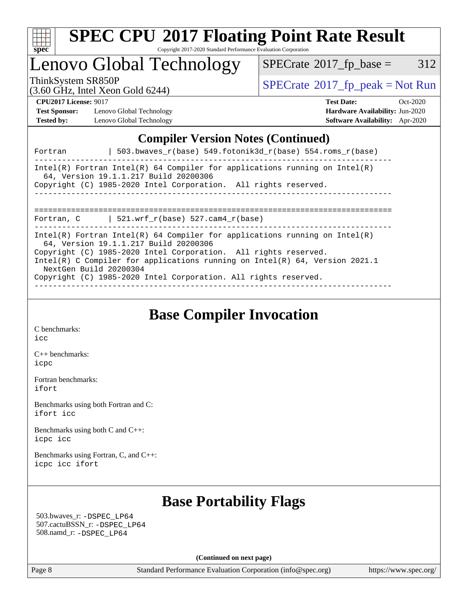

# Lenovo Global Technology

 $SPECTate@2017_fp\_base = 312$ 

(3.60 GHz, Intel Xeon Gold 6244)

ThinkSystem SR850P<br>  $(3.60 \text{ GHz, Intel Yoon Gold } 6244)$  [SPECrate](http://www.spec.org/auto/cpu2017/Docs/result-fields.html#SPECrate2017fppeak)®[2017\\_fp\\_peak = N](http://www.spec.org/auto/cpu2017/Docs/result-fields.html#SPECrate2017fppeak)ot Run

**[Test Sponsor:](http://www.spec.org/auto/cpu2017/Docs/result-fields.html#TestSponsor)** Lenovo Global Technology **[Hardware Availability:](http://www.spec.org/auto/cpu2017/Docs/result-fields.html#HardwareAvailability)** Jun-2020 **[Tested by:](http://www.spec.org/auto/cpu2017/Docs/result-fields.html#Testedby)** Lenovo Global Technology **[Software Availability:](http://www.spec.org/auto/cpu2017/Docs/result-fields.html#SoftwareAvailability)** Apr-2020

**[CPU2017 License:](http://www.spec.org/auto/cpu2017/Docs/result-fields.html#CPU2017License)** 9017 **[Test Date:](http://www.spec.org/auto/cpu2017/Docs/result-fields.html#TestDate)** Oct-2020

## **[Compiler Version Notes \(Continued\)](http://www.spec.org/auto/cpu2017/Docs/result-fields.html#CompilerVersionNotes)**

| Intel(R) Fortran Intel(R) 64 Compiler for applications running on Intel(R)<br>64, Version 19.1.1.217 Build 20200306<br>Copyright (C) 1985-2020 Intel Corporation. All rights reserved.                                                                                                                                                                                |
|-----------------------------------------------------------------------------------------------------------------------------------------------------------------------------------------------------------------------------------------------------------------------------------------------------------------------------------------------------------------------|
| Fortran, C $\vert$ 521.wrf_r(base) 527.cam4_r(base)                                                                                                                                                                                                                                                                                                                   |
| Intel(R) Fortran Intel(R) 64 Compiler for applications running on Intel(R)<br>64, Version 19.1.1.217 Build 20200306<br>Copyright (C) 1985-2020 Intel Corporation. All rights reserved.<br>Intel(R) C Compiler for applications running on Intel(R) $64$ , Version 2021.1<br>NextGen Build 20200304<br>Copyright (C) 1985-2020 Intel Corporation. All rights reserved. |

**[Base Compiler Invocation](http://www.spec.org/auto/cpu2017/Docs/result-fields.html#BaseCompilerInvocation)**

[C benchmarks](http://www.spec.org/auto/cpu2017/Docs/result-fields.html#Cbenchmarks): [icc](http://www.spec.org/cpu2017/results/res2020q4/cpu2017-20201026-24290.flags.html#user_CCbase_intel_icc_66fc1ee009f7361af1fbd72ca7dcefbb700085f36577c54f309893dd4ec40d12360134090235512931783d35fd58c0460139e722d5067c5574d8eaf2b3e37e92)

[C++ benchmarks:](http://www.spec.org/auto/cpu2017/Docs/result-fields.html#CXXbenchmarks) [icpc](http://www.spec.org/cpu2017/results/res2020q4/cpu2017-20201026-24290.flags.html#user_CXXbase_intel_icpc_c510b6838c7f56d33e37e94d029a35b4a7bccf4766a728ee175e80a419847e808290a9b78be685c44ab727ea267ec2f070ec5dc83b407c0218cded6866a35d07)

[Fortran benchmarks](http://www.spec.org/auto/cpu2017/Docs/result-fields.html#Fortranbenchmarks): [ifort](http://www.spec.org/cpu2017/results/res2020q4/cpu2017-20201026-24290.flags.html#user_FCbase_intel_ifort_8111460550e3ca792625aed983ce982f94888b8b503583aa7ba2b8303487b4d8a21a13e7191a45c5fd58ff318f48f9492884d4413fa793fd88dd292cad7027ca)

[Benchmarks using both Fortran and C](http://www.spec.org/auto/cpu2017/Docs/result-fields.html#BenchmarksusingbothFortranandC): [ifort](http://www.spec.org/cpu2017/results/res2020q4/cpu2017-20201026-24290.flags.html#user_CC_FCbase_intel_ifort_8111460550e3ca792625aed983ce982f94888b8b503583aa7ba2b8303487b4d8a21a13e7191a45c5fd58ff318f48f9492884d4413fa793fd88dd292cad7027ca) [icc](http://www.spec.org/cpu2017/results/res2020q4/cpu2017-20201026-24290.flags.html#user_CC_FCbase_intel_icc_66fc1ee009f7361af1fbd72ca7dcefbb700085f36577c54f309893dd4ec40d12360134090235512931783d35fd58c0460139e722d5067c5574d8eaf2b3e37e92)

[Benchmarks using both C and C++](http://www.spec.org/auto/cpu2017/Docs/result-fields.html#BenchmarksusingbothCandCXX): [icpc](http://www.spec.org/cpu2017/results/res2020q4/cpu2017-20201026-24290.flags.html#user_CC_CXXbase_intel_icpc_c510b6838c7f56d33e37e94d029a35b4a7bccf4766a728ee175e80a419847e808290a9b78be685c44ab727ea267ec2f070ec5dc83b407c0218cded6866a35d07) [icc](http://www.spec.org/cpu2017/results/res2020q4/cpu2017-20201026-24290.flags.html#user_CC_CXXbase_intel_icc_66fc1ee009f7361af1fbd72ca7dcefbb700085f36577c54f309893dd4ec40d12360134090235512931783d35fd58c0460139e722d5067c5574d8eaf2b3e37e92)

[Benchmarks using Fortran, C, and C++:](http://www.spec.org/auto/cpu2017/Docs/result-fields.html#BenchmarksusingFortranCandCXX) [icpc](http://www.spec.org/cpu2017/results/res2020q4/cpu2017-20201026-24290.flags.html#user_CC_CXX_FCbase_intel_icpc_c510b6838c7f56d33e37e94d029a35b4a7bccf4766a728ee175e80a419847e808290a9b78be685c44ab727ea267ec2f070ec5dc83b407c0218cded6866a35d07) [icc](http://www.spec.org/cpu2017/results/res2020q4/cpu2017-20201026-24290.flags.html#user_CC_CXX_FCbase_intel_icc_66fc1ee009f7361af1fbd72ca7dcefbb700085f36577c54f309893dd4ec40d12360134090235512931783d35fd58c0460139e722d5067c5574d8eaf2b3e37e92) [ifort](http://www.spec.org/cpu2017/results/res2020q4/cpu2017-20201026-24290.flags.html#user_CC_CXX_FCbase_intel_ifort_8111460550e3ca792625aed983ce982f94888b8b503583aa7ba2b8303487b4d8a21a13e7191a45c5fd58ff318f48f9492884d4413fa793fd88dd292cad7027ca)

## **[Base Portability Flags](http://www.spec.org/auto/cpu2017/Docs/result-fields.html#BasePortabilityFlags)**

 503.bwaves\_r: [-DSPEC\\_LP64](http://www.spec.org/cpu2017/results/res2020q4/cpu2017-20201026-24290.flags.html#suite_basePORTABILITY503_bwaves_r_DSPEC_LP64) 507.cactuBSSN\_r: [-DSPEC\\_LP64](http://www.spec.org/cpu2017/results/res2020q4/cpu2017-20201026-24290.flags.html#suite_basePORTABILITY507_cactuBSSN_r_DSPEC_LP64) 508.namd\_r: [-DSPEC\\_LP64](http://www.spec.org/cpu2017/results/res2020q4/cpu2017-20201026-24290.flags.html#suite_basePORTABILITY508_namd_r_DSPEC_LP64)

**(Continued on next page)**

Page 8 Standard Performance Evaluation Corporation [\(info@spec.org\)](mailto:info@spec.org) <https://www.spec.org/>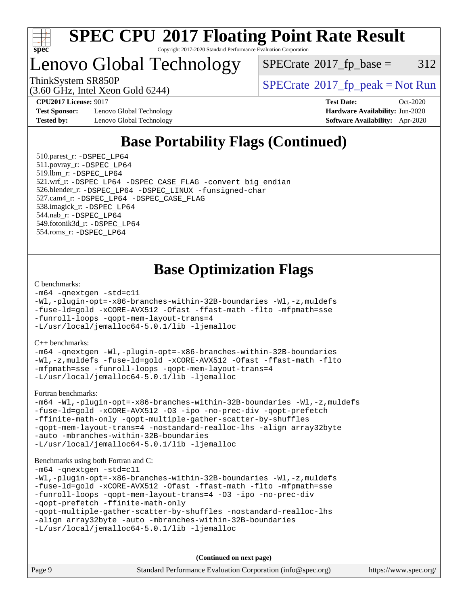

## Lenovo Global Technology

 $SPECTate$ <sup>®</sup>[2017\\_fp\\_base =](http://www.spec.org/auto/cpu2017/Docs/result-fields.html#SPECrate2017fpbase) 312

(3.60 GHz, Intel Xeon Gold 6244)

**[Test Sponsor:](http://www.spec.org/auto/cpu2017/Docs/result-fields.html#TestSponsor)** Lenovo Global Technology **[Hardware Availability:](http://www.spec.org/auto/cpu2017/Docs/result-fields.html#HardwareAvailability)** Jun-2020 **[Tested by:](http://www.spec.org/auto/cpu2017/Docs/result-fields.html#Testedby)** Lenovo Global Technology **[Software Availability:](http://www.spec.org/auto/cpu2017/Docs/result-fields.html#SoftwareAvailability)** Apr-2020

ThinkSystem SR850P<br>  $(3.60 \text{ GHz, Intel Yoon Gold } 6244)$  [SPECrate](http://www.spec.org/auto/cpu2017/Docs/result-fields.html#SPECrate2017fppeak)®[2017\\_fp\\_peak = N](http://www.spec.org/auto/cpu2017/Docs/result-fields.html#SPECrate2017fppeak)ot Run

**[CPU2017 License:](http://www.spec.org/auto/cpu2017/Docs/result-fields.html#CPU2017License)** 9017 **[Test Date:](http://www.spec.org/auto/cpu2017/Docs/result-fields.html#TestDate)** Oct-2020

## **[Base Portability Flags \(Continued\)](http://www.spec.org/auto/cpu2017/Docs/result-fields.html#BasePortabilityFlags)**

 510.parest\_r: [-DSPEC\\_LP64](http://www.spec.org/cpu2017/results/res2020q4/cpu2017-20201026-24290.flags.html#suite_basePORTABILITY510_parest_r_DSPEC_LP64) 511.povray\_r: [-DSPEC\\_LP64](http://www.spec.org/cpu2017/results/res2020q4/cpu2017-20201026-24290.flags.html#suite_basePORTABILITY511_povray_r_DSPEC_LP64) 519.lbm\_r: [-DSPEC\\_LP64](http://www.spec.org/cpu2017/results/res2020q4/cpu2017-20201026-24290.flags.html#suite_basePORTABILITY519_lbm_r_DSPEC_LP64) 521.wrf\_r: [-DSPEC\\_LP64](http://www.spec.org/cpu2017/results/res2020q4/cpu2017-20201026-24290.flags.html#suite_basePORTABILITY521_wrf_r_DSPEC_LP64) [-DSPEC\\_CASE\\_FLAG](http://www.spec.org/cpu2017/results/res2020q4/cpu2017-20201026-24290.flags.html#b521.wrf_r_baseCPORTABILITY_DSPEC_CASE_FLAG) [-convert big\\_endian](http://www.spec.org/cpu2017/results/res2020q4/cpu2017-20201026-24290.flags.html#user_baseFPORTABILITY521_wrf_r_convert_big_endian_c3194028bc08c63ac5d04de18c48ce6d347e4e562e8892b8bdbdc0214820426deb8554edfa529a3fb25a586e65a3d812c835984020483e7e73212c4d31a38223) 526.blender\_r: [-DSPEC\\_LP64](http://www.spec.org/cpu2017/results/res2020q4/cpu2017-20201026-24290.flags.html#suite_basePORTABILITY526_blender_r_DSPEC_LP64) [-DSPEC\\_LINUX](http://www.spec.org/cpu2017/results/res2020q4/cpu2017-20201026-24290.flags.html#b526.blender_r_baseCPORTABILITY_DSPEC_LINUX) [-funsigned-char](http://www.spec.org/cpu2017/results/res2020q4/cpu2017-20201026-24290.flags.html#user_baseCPORTABILITY526_blender_r_force_uchar_40c60f00ab013830e2dd6774aeded3ff59883ba5a1fc5fc14077f794d777847726e2a5858cbc7672e36e1b067e7e5c1d9a74f7176df07886a243d7cc18edfe67) 527.cam4\_r: [-DSPEC\\_LP64](http://www.spec.org/cpu2017/results/res2020q4/cpu2017-20201026-24290.flags.html#suite_basePORTABILITY527_cam4_r_DSPEC_LP64) [-DSPEC\\_CASE\\_FLAG](http://www.spec.org/cpu2017/results/res2020q4/cpu2017-20201026-24290.flags.html#b527.cam4_r_baseCPORTABILITY_DSPEC_CASE_FLAG) 538.imagick\_r: [-DSPEC\\_LP64](http://www.spec.org/cpu2017/results/res2020q4/cpu2017-20201026-24290.flags.html#suite_basePORTABILITY538_imagick_r_DSPEC_LP64) 544.nab\_r: [-DSPEC\\_LP64](http://www.spec.org/cpu2017/results/res2020q4/cpu2017-20201026-24290.flags.html#suite_basePORTABILITY544_nab_r_DSPEC_LP64) 549.fotonik3d\_r: [-DSPEC\\_LP64](http://www.spec.org/cpu2017/results/res2020q4/cpu2017-20201026-24290.flags.html#suite_basePORTABILITY549_fotonik3d_r_DSPEC_LP64) 554.roms\_r: [-DSPEC\\_LP64](http://www.spec.org/cpu2017/results/res2020q4/cpu2017-20201026-24290.flags.html#suite_basePORTABILITY554_roms_r_DSPEC_LP64)

## **[Base Optimization Flags](http://www.spec.org/auto/cpu2017/Docs/result-fields.html#BaseOptimizationFlags)**

#### [C benchmarks](http://www.spec.org/auto/cpu2017/Docs/result-fields.html#Cbenchmarks):

```
-m64 -qnextgen -std=c11
-Wl,-plugin-opt=-x86-branches-within-32B-boundaries -Wl,-z,muldefs
-fuse-ld=gold -xCORE-AVX512 -Ofast -ffast-math -flto -mfpmath=sse
-funroll-loops -qopt-mem-layout-trans=4
-L/usr/local/jemalloc64-5.0.1/lib -ljemalloc
```
[C++ benchmarks:](http://www.spec.org/auto/cpu2017/Docs/result-fields.html#CXXbenchmarks)

[-m64](http://www.spec.org/cpu2017/results/res2020q4/cpu2017-20201026-24290.flags.html#user_CXXbase_m64-icc) [-qnextgen](http://www.spec.org/cpu2017/results/res2020q4/cpu2017-20201026-24290.flags.html#user_CXXbase_f-qnextgen) [-Wl,-plugin-opt=-x86-branches-within-32B-boundaries](http://www.spec.org/cpu2017/results/res2020q4/cpu2017-20201026-24290.flags.html#user_CXXbase_f-x86-branches-within-32B-boundaries_0098b4e4317ae60947b7b728078a624952a08ac37a3c797dfb4ffeb399e0c61a9dd0f2f44ce917e9361fb9076ccb15e7824594512dd315205382d84209e912f3) [-Wl,-z,muldefs](http://www.spec.org/cpu2017/results/res2020q4/cpu2017-20201026-24290.flags.html#user_CXXbase_link_force_multiple1_b4cbdb97b34bdee9ceefcfe54f4c8ea74255f0b02a4b23e853cdb0e18eb4525ac79b5a88067c842dd0ee6996c24547a27a4b99331201badda8798ef8a743f577) [-fuse-ld=gold](http://www.spec.org/cpu2017/results/res2020q4/cpu2017-20201026-24290.flags.html#user_CXXbase_f-fuse-ld_920b3586e2b8c6e0748b9c84fa9b744736ba725a32cab14ad8f3d4ad28eecb2f59d1144823d2e17006539a88734fe1fc08fc3035f7676166309105a78aaabc32) [-xCORE-AVX512](http://www.spec.org/cpu2017/results/res2020q4/cpu2017-20201026-24290.flags.html#user_CXXbase_f-xCORE-AVX512) [-Ofast](http://www.spec.org/cpu2017/results/res2020q4/cpu2017-20201026-24290.flags.html#user_CXXbase_f-Ofast) [-ffast-math](http://www.spec.org/cpu2017/results/res2020q4/cpu2017-20201026-24290.flags.html#user_CXXbase_f-ffast-math) [-flto](http://www.spec.org/cpu2017/results/res2020q4/cpu2017-20201026-24290.flags.html#user_CXXbase_f-flto) [-mfpmath=sse](http://www.spec.org/cpu2017/results/res2020q4/cpu2017-20201026-24290.flags.html#user_CXXbase_f-mfpmath_70eb8fac26bde974f8ab713bc9086c5621c0b8d2f6c86f38af0bd7062540daf19db5f3a066d8c6684be05d84c9b6322eb3b5be6619d967835195b93d6c02afa1) [-funroll-loops](http://www.spec.org/cpu2017/results/res2020q4/cpu2017-20201026-24290.flags.html#user_CXXbase_f-funroll-loops) [-qopt-mem-layout-trans=4](http://www.spec.org/cpu2017/results/res2020q4/cpu2017-20201026-24290.flags.html#user_CXXbase_f-qopt-mem-layout-trans_fa39e755916c150a61361b7846f310bcdf6f04e385ef281cadf3647acec3f0ae266d1a1d22d972a7087a248fd4e6ca390a3634700869573d231a252c784941a8) [-L/usr/local/jemalloc64-5.0.1/lib](http://www.spec.org/cpu2017/results/res2020q4/cpu2017-20201026-24290.flags.html#user_CXXbase_jemalloc_link_path64_1_cc289568b1a6c0fd3b62c91b824c27fcb5af5e8098e6ad028160d21144ef1b8aef3170d2acf0bee98a8da324cfe4f67d0a3d0c4cc4673d993d694dc2a0df248b) [-ljemalloc](http://www.spec.org/cpu2017/results/res2020q4/cpu2017-20201026-24290.flags.html#user_CXXbase_jemalloc_link_lib_d1249b907c500fa1c0672f44f562e3d0f79738ae9e3c4a9c376d49f265a04b9c99b167ecedbf6711b3085be911c67ff61f150a17b3472be731631ba4d0471706)

[Fortran benchmarks](http://www.spec.org/auto/cpu2017/Docs/result-fields.html#Fortranbenchmarks):

```
-m64 -Wl,-plugin-opt=-x86-branches-within-32B-boundaries -Wl,-z,muldefs
-fuse-ld=gold -xCORE-AVX512 -O3 -ipo -no-prec-div -qopt-prefetch
-ffinite-math-only -qopt-multiple-gather-scatter-by-shuffles
-qopt-mem-layout-trans=4 -nostandard-realloc-lhs -align array32byte
-auto -mbranches-within-32B-boundaries
-L/usr/local/jemalloc64-5.0.1/lib -ljemalloc
```
#### [Benchmarks using both Fortran and C](http://www.spec.org/auto/cpu2017/Docs/result-fields.html#BenchmarksusingbothFortranandC):

```
-m64 -qnextgen -std=c11
-Wl,-plugin-opt=-x86-branches-within-32B-boundaries -Wl,-z,muldefs
-fuse-ld=gold -xCORE-AVX512 -Ofast -ffast-math -flto -mfpmath=sse
-funroll-loops -qopt-mem-layout-trans=4 -O3 -ipo -no-prec-div
-qopt-prefetch -ffinite-math-only
-qopt-multiple-gather-scatter-by-shuffles -nostandard-realloc-lhs
-align array32byte -auto -mbranches-within-32B-boundaries
-L/usr/local/jemalloc64-5.0.1/lib -ljemalloc
```
**(Continued on next page)**

| Page 9 | Standard Performance Evaluation Corporation (info@spec.org) | https://www.spec.org/ |
|--------|-------------------------------------------------------------|-----------------------|
|--------|-------------------------------------------------------------|-----------------------|